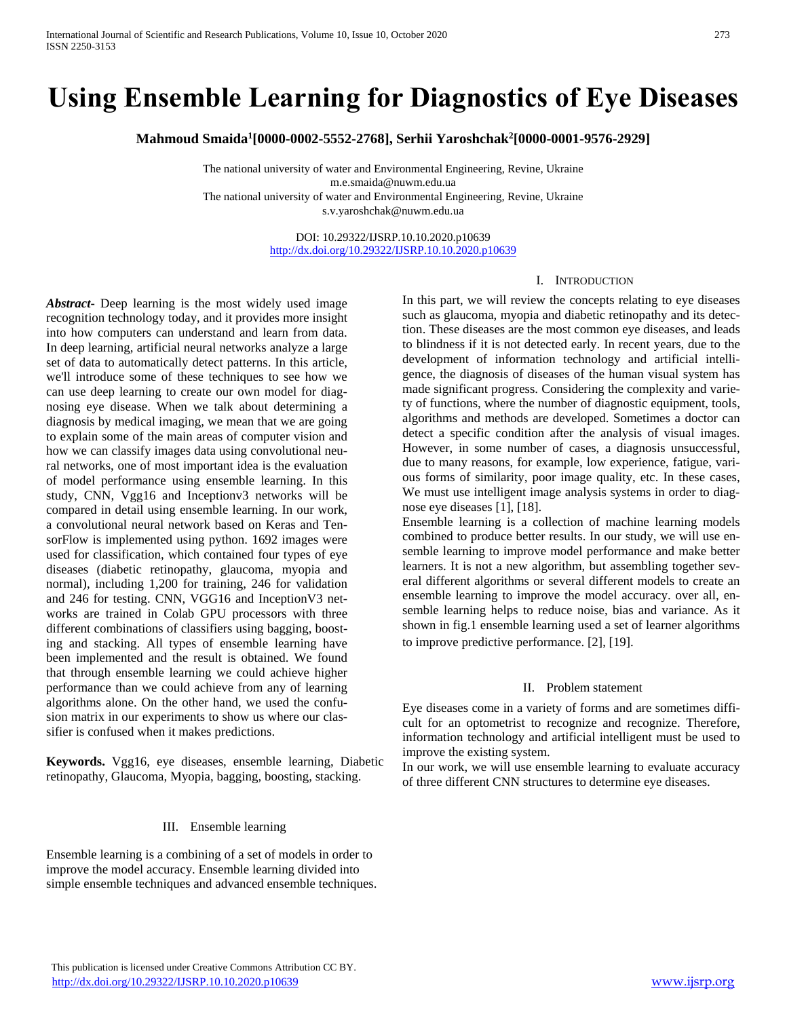# **Using Ensemble Learning for Diagnostics of Eye Diseases**

**Mahmoud Smaida<sup>1</sup> [0000-0002-5552-2768], Serhii Yaroshchak<sup>2</sup> [0000-0001-9576-2929]** 

The national university of water and Environmental Engineering, Revine, Ukraine m.e.smaida@nuwm.edu.ua The national university of water and Environmental Engineering, Revine, Ukraine s.v.yaroshchak@nuwm.edu.ua

> DOI: 10.29322/IJSRP.10.10.2020.p10639 <http://dx.doi.org/10.29322/IJSRP.10.10.2020.p10639>

## I. INTRODUCTION

*Abstract***-** Deep learning is the most widely used image recognition technology today, and it provides more insight into how computers can understand and learn from data. In deep learning, artificial neural networks analyze a large set of data to automatically detect patterns. In this article, we'll introduce some of these techniques to see how we can use deep learning to create our own model for diagnosing eye disease. When we talk about determining a diagnosis by medical imaging, we mean that we are going to explain some of the main areas of computer vision and how we can classify images data using convolutional neural networks, one of most important idea is the evaluation of model performance using ensemble learning. In this study, CNN, Vgg16 and Inceptionv3 networks will be compared in detail using ensemble learning. In our work, a convolutional neural network based on Keras and TensorFlow is implemented using python. 1692 images were used for classification, which contained four types of eye diseases (diabetic retinopathy, glaucoma, myopia and normal), including 1,200 for training, 246 for validation and 246 for testing. CNN, VGG16 and InceptionV3 networks are trained in Colab GPU processors with three different combinations of classifiers using bagging, boosting and stacking. All types of ensemble learning have been implemented and the result is obtained. We found that through ensemble learning we could achieve higher performance than we could achieve from any of learning algorithms alone. On the other hand, we used the confusion matrix in our experiments to show us where our classifier is confused when it makes predictions.

**Keywords.** Vgg16, eye diseases, ensemble learning, Diabetic retinopathy, Glaucoma, Myopia, bagging, boosting, stacking.

## III. Ensemble learning

Ensemble learning is a combining of a set of models in order to improve the model accuracy. Ensemble learning divided into simple ensemble techniques and advanced ensemble techniques. In this part, we will review the concepts relating to eye diseases such as glaucoma, myopia and diabetic retinopathy and its detection. These diseases are the most common eye diseases, and leads to blindness if it is not detected early. In recent years, due to the development of information technology and artificial intelligence, the diagnosis of diseases of the human visual system has made significant progress. Considering the complexity and variety of functions, where the number of diagnostic equipment, tools, algorithms and methods are developed. Sometimes a doctor can detect a specific condition after the analysis of visual images. However, in some number of cases, a diagnosis unsuccessful, due to many reasons, for example, low experience, fatigue, various forms of similarity, poor image quality, etc. In these cases, We must use intelligent image analysis systems in order to diagnose eye diseases [1], [18].

Ensemble learning is a collection of machine learning models combined to produce better results. In our study, we will use ensemble learning to improve model performance and make better learners. It is not a new algorithm, but assembling together several different algorithms or several different models to create an ensemble learning to improve the model accuracy. over all, ensemble learning helps to reduce noise, bias and variance. As it shown in fig.1 ensemble learning used a set of learner algorithms to improve predictive performance. [2], [19].

#### II. Problem statement

Eye diseases come in a variety of forms and are sometimes difficult for an optometrist to recognize and recognize. Therefore, information technology and artificial intelligent must be used to improve the existing system.

In our work, we will use ensemble learning to evaluate accuracy of three different CNN structures to determine eye diseases.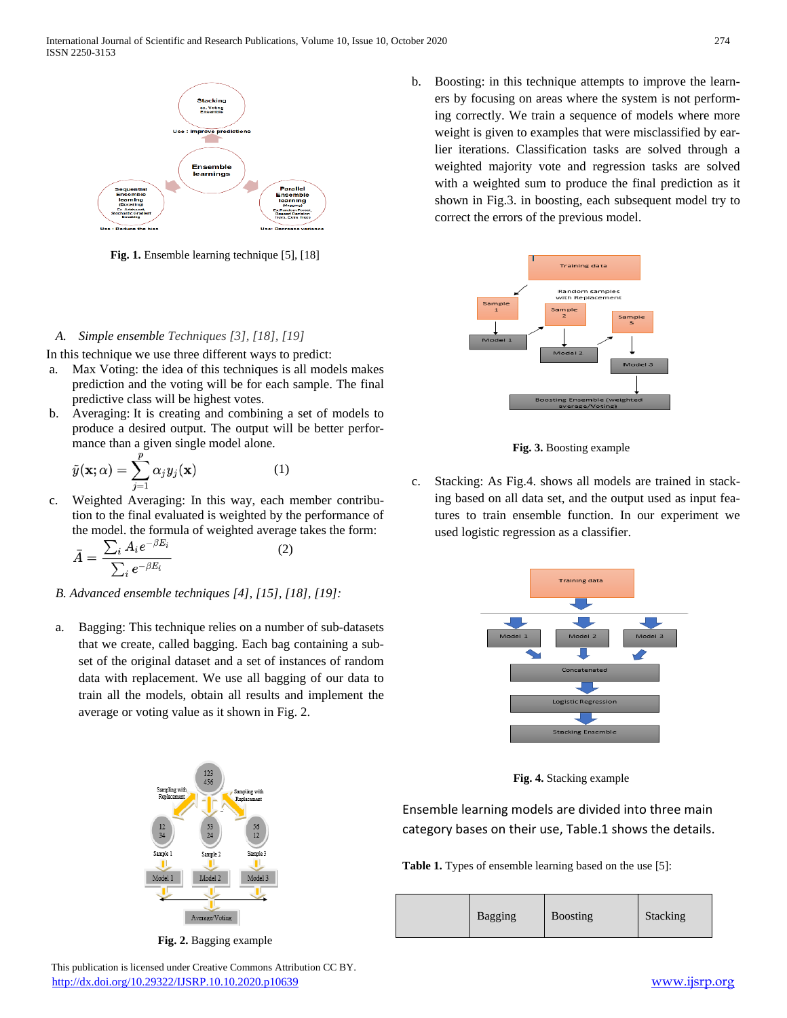International Journal of Scientific and Research Publications, Volume 10, Issue 10, October 2020 274 ISSN 2250-3153



**Fig. 1.** Ensemble learning technique [5], [18]

## *A. Simple ensemble Techniques [3], [18], [19]*

In this technique we use three different ways to predict:

- a. Max Voting: the idea of this techniques is all models makes prediction and the voting will be for each sample. The final predictive class will be highest votes.
- b. Averaging: It is creating and combining a set of models to produce a desired output. The output will be better performance than a given single model alone.

$$
\tilde{y}(\mathbf{x};\alpha) = \sum_{j=1}^{p} \alpha_j y_j(\mathbf{x}) \tag{1}
$$

c. Weighted Averaging: In this way, each member contribution to the final evaluated is weighted by the performance of the model. the formula of weighted average takes the form:<br> $\sum_{n=1}^{4} A_n = \frac{a}{n}$ (2)

$$
\bar{A}=\frac{\sum_i A_i e^{-\beta E_i}}{\sum_i e^{-\beta E_i}}
$$

- *B. [Advanced ensemble techniques](https://heartbeat.fritz.ai/ensemble-learning-techniques-demystified-e57ee5714996#9aeb) [4], [15], [18], [19]:*
- a. Bagging: This technique relies on a number of sub-datasets that we create, called bagging. Each bag containing a subset of the original dataset and a set of instances of random data with replacement. We use all bagging of our data to train all the models, obtain all results and implement the average or voting value as it shown in Fig. 2.



**Fig. 2.** Bagging example

b. Boosting: in this technique attempts to improve the learners by focusing on areas where the system is not performing correctly. We train a sequence of models where more weight is given to examples that were misclassified by earlier iterations. Classification tasks are solved through a weighted majority vote and regression tasks are solved with a weighted sum to produce the final prediction as it shown in Fig.3. in boosting, each subsequent model try to correct the errors of the previous model.





c. Stacking: As Fig.4. shows all models are trained in stacking based on all data set, and the output used as input features to train ensemble function. In our experiment we used logistic regression as a classifier.



**Fig. 4.** Stacking example

Ensemble learning models are divided into three main category bases on their use, Table.1 shows the details.

**Table 1.** Types of ensemble learning based on the use [5]:

Bagging Boosting Stacking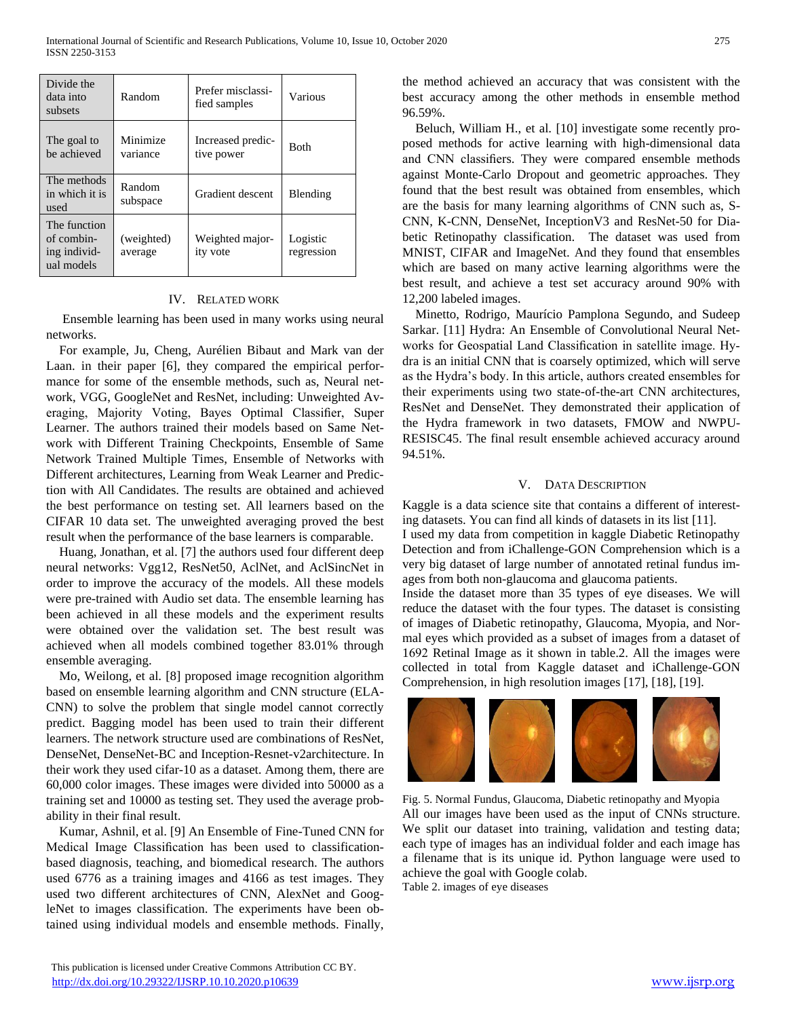| Divide the<br>data into<br>subsets                       | Random                | Prefer misclassi-<br>fied samples | Various                |
|----------------------------------------------------------|-----------------------|-----------------------------------|------------------------|
| The goal to<br>be achieved                               | Minimize<br>variance  | Increased predic-<br>tive power   | <b>Both</b>            |
| The methods<br>in which it is<br>used                    | Random<br>subspace    | Gradient descent                  | Blending               |
| The function<br>of combin-<br>ing individ-<br>ual models | (weighted)<br>average | Weighted major-<br>ity vote       | Logistic<br>regression |

### IV. RELATED WORK

Ensemble learning has been used in many works using neural networks.

For example, Ju, Cheng, Aurélien Bibaut and Mark van der Laan. in their paper [6], they compared the empirical performance for some of the ensemble methods, such as, Neural network, VGG, GoogleNet and ResNet, including: Unweighted Averaging, Majority Voting, Bayes Optimal Classifier, Super Learner. The authors trained their models based on Same Network with Different Training Checkpoints, Ensemble of Same Network Trained Multiple Times, Ensemble of Networks with Different architectures, Learning from Weak Learner and Prediction with All Candidates. The results are obtained and achieved the best performance on testing set. All learners based on the CIFAR 10 data set. The unweighted averaging proved the best result when the performance of the base learners is comparable.

Huang, Jonathan, et al. [7] the authors used four different deep neural networks: Vgg12, ResNet50, AclNet, and AclSincNet in order to improve the accuracy of the models. All these models were pre-trained with Audio set data. The ensemble learning has been achieved in all these models and the experiment results were obtained over the validation set. The best result was achieved when all models combined together 83.01% through ensemble averaging.

Mo, Weilong, et al. [8] proposed image recognition algorithm based on ensemble learning algorithm and CNN structure (ELA-CNN) to solve the problem that single model cannot correctly predict. Bagging model has been used to train their different learners. The network structure used are combinations of ResNet, DenseNet, DenseNet-BC and Inception-Resnet-v2architecture. In their work they used cifar-10 as a dataset. Among them, there are 60,000 color images. These images were divided into 50000 as a training set and 10000 as testing set. They used the average probability in their final result.

Kumar, Ashnil, et al. [9] An Ensemble of Fine-Tuned CNN for Medical Image Classification has been used to classificationbased diagnosis, teaching, and biomedical research. The authors used 6776 as a training images and 4166 as test images. They used two different architectures of CNN, AlexNet and GoogleNet to images classification. The experiments have been obtained using individual models and ensemble methods. Finally, the method achieved an accuracy that was consistent with the best accuracy among the other methods in ensemble method 96.59%.

Beluch, William H., et al. [10] investigate some recently proposed methods for active learning with high-dimensional data and CNN classifiers. They were compared ensemble methods against Monte-Carlo Dropout and geometric approaches. They found that the best result was obtained from ensembles, which are the basis for many learning algorithms of CNN such as, S-CNN, K-CNN, DenseNet, InceptionV3 and ResNet-50 for Diabetic Retinopathy classification. The dataset was used from MNIST, CIFAR and ImageNet. And they found that ensembles which are based on many active learning algorithms were the best result, and achieve a test set accuracy around 90% with 12,200 labeled images.

Minetto, Rodrigo, Maurício Pamplona Segundo, and Sudeep Sarkar. [11] Hydra: An Ensemble of Convolutional Neural Networks for Geospatial Land Classification in satellite image. Hydra is an initial CNN that is coarsely optimized, which will serve as the Hydra's body. In this article, authors created ensembles for their experiments using two state-of-the-art CNN architectures, ResNet and DenseNet. They demonstrated their application of the Hydra framework in two datasets, FMOW and NWPU-RESISC45. The final result ensemble achieved accuracy around 94.51%.

## V. DATA DESCRIPTION

[Kaggle](https://www.kaggle.com/) is a data science site that contains a different of interesting datasets. You can find all kinds of datasets in its [list](https://www.kaggle.com/datasets) [11].

I used my data from competition in kaggle Diabetic Retinopathy Detection and from iChallenge-GON Comprehension which is a very big dataset of large number of annotated retinal fundus images from both non-glaucoma and glaucoma patients.

Inside the dataset more than 35 types of eye diseases. We will reduce the dataset with the four types. The dataset is consisting of images of Diabetic retinopathy, Glaucoma, Myopia, and Normal eyes which provided as a subset of images from a dataset of 1692 Retinal Image as it shown in table.2. All the images were collected in total from Kaggle dataset and iChallenge-GON Comprehension, in high resolution images [17], [18], [19].



Fig. 5. Normal Fundus, Glaucoma, Diabetic retinopathy and Myopia All our images have been used as the input of CNNs structure. We split our dataset into training, validation and testing data; each type of images has an individual folder and each image has a filename that is its unique id. Python language were used to achieve the goal with Google colab. Table 2. images of eye diseases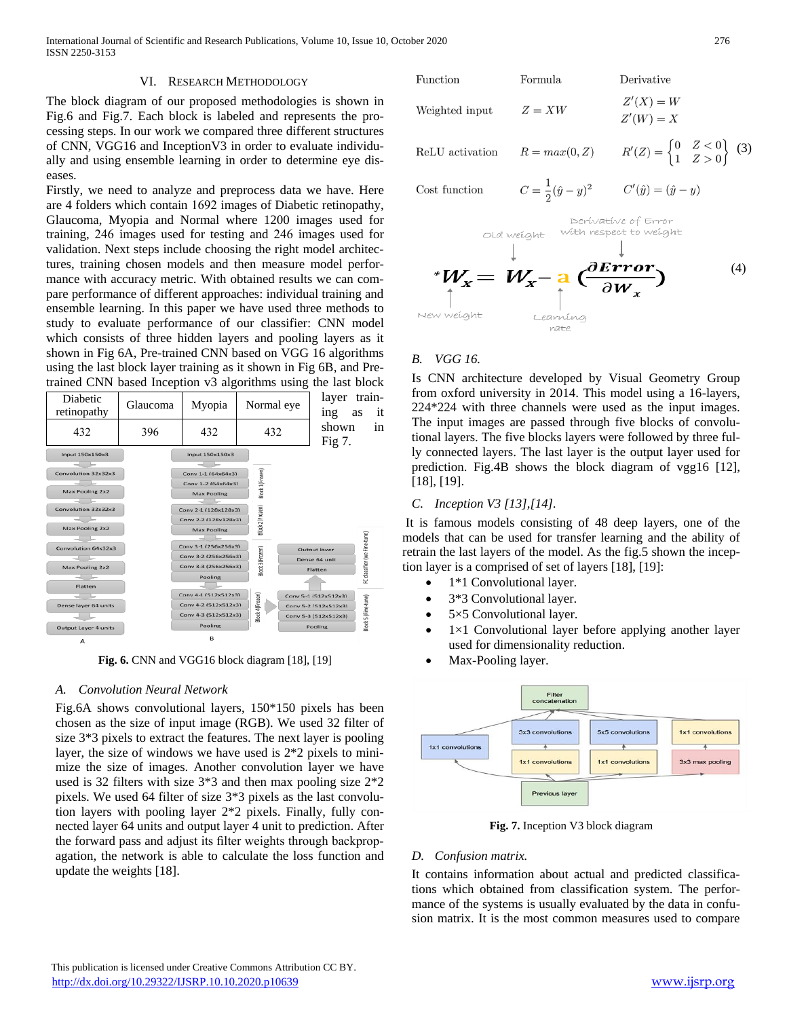International Journal of Scientific and Research Publications, Volume 10, Issue 10, October 2020 276 ISSN 2250-3153

#### VI. RESEARCH METHODOLOGY

The block diagram of our proposed methodologies is shown in Fig.6 and Fig.7. Each block is labeled and represents the processing steps. In our work we compared three different structures of CNN, VGG16 and InceptionV3 in order to evaluate individually and using ensemble learning in order to determine eye diseases.

Firstly, we need to analyze and preprocess data we have. Here are 4 folders which contain 1692 images of Diabetic retinopathy, Glaucoma, Myopia and Normal where 1200 images used for training, 246 images used for testing and 246 images used for validation. Next steps include choosing the right model architectures, training chosen models and then measure model performance with accuracy metric. With obtained results we can compare performance of different approaches: individual training and ensemble learning. In this paper we have used three methods to study to evaluate performance of our classifier: CNN model which consists of three hidden layers and pooling layers as it shown in Fig 6A, Pre-trained CNN based on VGG 16 algorithms using the last block layer training as it shown in Fig 6B, and Pretrained CNN based Inception v3 algorithms using the last block

| Diabetic<br>retinopathy | Glaucoma | Myopia               | Normal eye       | layer<br>ing         | train-<br>it<br>as           |
|-------------------------|----------|----------------------|------------------|----------------------|------------------------------|
| 432                     | 396      | 432                  | 432              | shown<br>Fig 7.      | 1n                           |
| Input 150x150x3         |          | Input 150x150x3      |                  |                      |                              |
|                         |          |                      |                  |                      |                              |
| Convolution 32x32x3     |          | Conv 1-1 (64x64x3)   |                  |                      |                              |
|                         |          |                      |                  |                      |                              |
|                         |          | Conv 1-2 (64x64x3)   | Block 1(Frozen)  |                      |                              |
| Max Pooling 2x2         |          | <b>Max Pooling</b>   |                  |                      |                              |
|                         |          |                      |                  |                      |                              |
| Convolution 32x32x3     |          | Conv 2-1 (128x128x3) |                  |                      |                              |
|                         |          | Conv 2-2 (128x128x3) | Block 2 (Frozen) |                      |                              |
| Max Pooling 2x2         |          | <b>Max Pooling</b>   |                  |                      |                              |
|                         |          |                      |                  |                      |                              |
| Convolution 64x32x3     |          | Conv 3-1 (256x256x3) |                  | Output laver         | FC classifier (we Fine-tune) |
|                         |          | Conv 3-2 (256x256x3) |                  | Dense 64 unit        |                              |
| Max Pooling 2x2         |          | Conv 3-3 (256x256x3) | 3lock 3 (Frozen) | Flatten              |                              |
|                         |          | Pooling              |                  |                      |                              |
| Flatten                 |          |                      |                  |                      |                              |
|                         |          | Conv 4-1 (512x512x3) |                  | Conv 5-1 (512x512x3) |                              |
| Dense layer 64 units    |          | Conv 4-2 (512x512x3) |                  | Conv 5-2 (512x512x3) |                              |
|                         |          | Conv 4-3 (512x512x3) | Block 4(Frozen)  | Conv 5-3 (512x512x3) | Block 5 (Fine-tune)          |
| Output Layer 4 units    |          | Pooling              |                  | Pooling              |                              |
| Δ                       |          | в                    |                  |                      |                              |

**Fig. 6.** CNN and VGG16 block diagram [18], [19]

#### *A. Convolution Neural Network*

Fig.6A shows convolutional layers, 150\*150 pixels has been chosen as the size of input image (RGB). We used 32 filter of size 3\*3 pixels to extract the features. The next layer is pooling layer, the size of windows we have used is 2\*2 pixels to minimize the size of images. Another convolution layer we have used is 32 filters with size 3\*3 and then max pooling size 2\*2 pixels. We used 64 filter of size 3\*3 pixels as the last convolution layers with pooling layer 2\*2 pixels. Finally, fully connected layer 64 units and output layer 4 unit to prediction. After the forward pass and adjust its filter weights through backpropagation, the network is able to calculate the loss function and update the weights [18].

Function Formula Derivative  
\nWeighted input 
$$
Z = XW
$$
  $Z'(X) = W$   
\n $Z'(W) = X$   
\nReLU activation  $R = max(0, Z)$   $R'(Z) = \begin{cases} 0 & Z < 0 \\ 1 & Z > 0 \end{cases}$  (3)  
\nCost function  $C = \frac{1}{2}(\hat{y} - y)^2$   $C'(\hat{y}) = (\hat{y} - y)$ 

Cost function

$$
C'(\hat{y}) = (\hat{y} - y)
$$



#### *B. VGG 16.*

Is CNN architecture developed by Visual Geometry Group from oxford university in 2014. This model using a 16-layers, 224\*224 with three channels were used as the input images. The input images are passed through five blocks of convolutional layers. The five blocks layers were followed by three fully connected layers. The last layer is the output layer used for prediction. Fig.4B shows the block diagram of vgg16 [12], [18], [19].

#### *C. Inception V3 [13],[14].*

It is famous models consisting of 48 deep layers, one of the models that can be used for transfer learning and the ability of retrain the last layers of the model. As the fig.5 shown the inception layer is a comprised of set of layers [18], [19]:

- 1\*1 Convolutional layer.
- 3\*3 Convolutional layer.
- 5×5 Convolutional layer.
- $1\times1$  Convolutional layer before applying another layer used for dimensionality reduction.
- Max-Pooling layer.



**Fig. 7.** Inception V3 block diagram

#### *D. Confusion matrix.*

It contains information about actual and predicted classifications which obtained from classification system. The performance of the systems is usually evaluated by the data in confusion matrix. It is the most common measures used to compare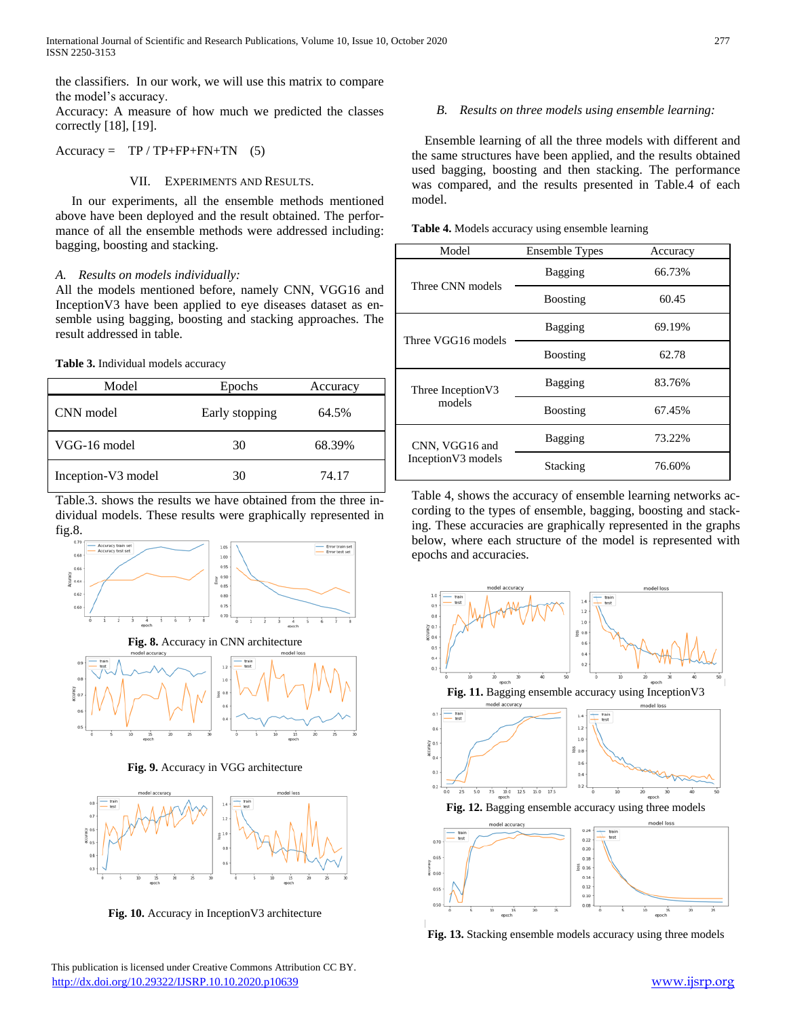the classifiers. In our work, we will use this matrix to compare the model's accuracy.

Accuracy: A measure of how much we predicted the classes correctly [18], [19].

 $Accuracy = TP / TP + FP + FN + TN$  (5)

## VII. EXPERIMENTS AND RESULTS.

 In our experiments, all the ensemble methods mentioned above have been deployed and the result obtained. The performance of all the ensemble methods were addressed including: bagging, boosting and stacking.

## *A. Results on models individually:*

All the models mentioned before, namely CNN, VGG16 and InceptionV3 have been applied to eye diseases dataset as ensemble using bagging, boosting and stacking approaches. The result addressed in table.

## **Table 3.** Individual models accuracy

| Model              | Epochs         | Accuracy |
|--------------------|----------------|----------|
| CNN model          | Early stopping | 64.5%    |
| VGG-16 model       | 30             | 68.39%   |
| Inception-V3 model | 30             | 74.17    |

Table.3. shows the results we have obtained from the three individual models. These results were graphically represented in fig.8.



**Fig. 9.** Accuracy in VGG architecture

 $\overline{15}$ 



**Fig. 10.** Accuracy in InceptionV3 architecture

 This publication is licensed under Creative Commons Attribution CC BY. <http://dx.doi.org/10.29322/IJSRP.10.10.2020.p10639> [www.ijsrp.org](http://ijsrp.org/)

# *B. Results on three models using ensemble learning:*

 Ensemble learning of all the three models with different and the same structures have been applied, and the results obtained used bagging, boosting and then stacking. The performance was compared, and the results presented in Table.4 of each model.

|  |  | Table 4. Models accuracy using ensemble learning |  |
|--|--|--------------------------------------------------|--|
|  |  |                                                  |  |

| Model               | Ensemble Types   | Accuracy |
|---------------------|------------------|----------|
| Three CNN models    | Bagging          | 66.73%   |
|                     | <b>B</b> oosting | 60.45    |
| Three VGG16 models  | Bagging          | 69.19%   |
|                     | <b>B</b> oosting | 62.78    |
| Three Inception V3  | Bagging          | 83.76%   |
| models              | <b>B</b> oosting | 67.45%   |
| CNN, VGG16 and      | Bagging          | 73.22%   |
| Inception V3 models | Stacking         | 76.60%   |

Table 4, shows the accuracy of ensemble learning networks according to the types of ensemble, bagging, boosting and stacking. These accuracies are graphically represented in the graphs below, where each structure of the model is represented with epochs and accuracies.



**Fig. 13.** Stacking ensemble models accuracy using three models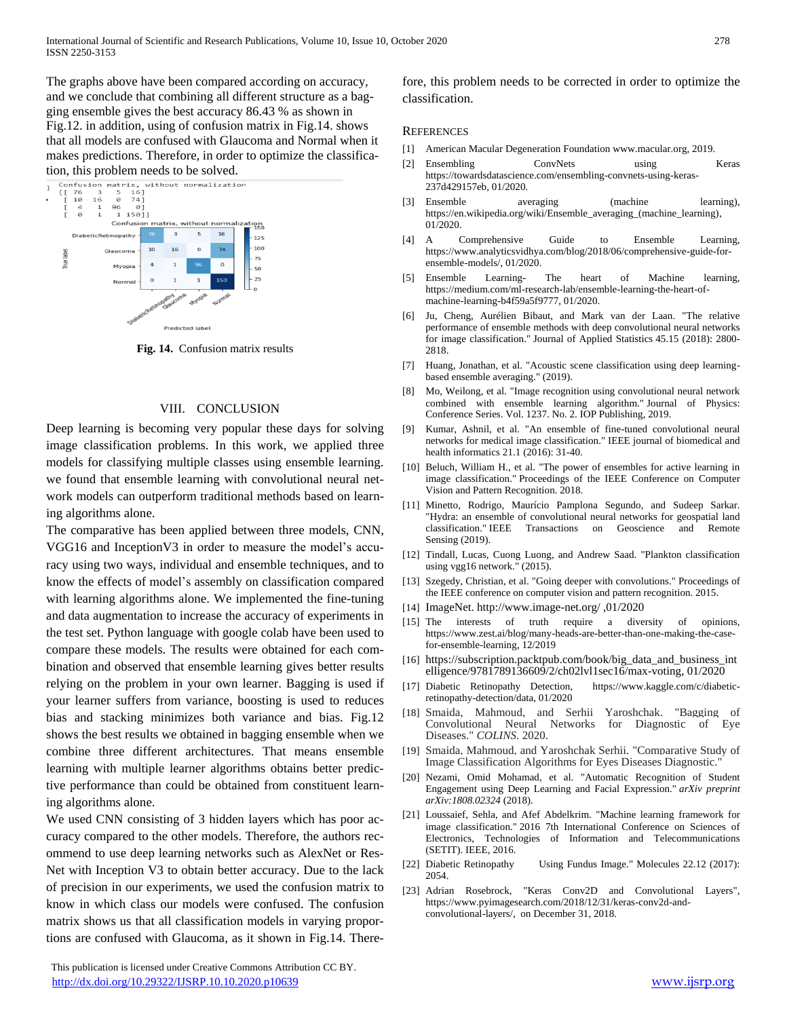The graphs above have been compared according on accuracy, and we conclude that combining all different structure as a bagging ensemble gives the best accuracy 86.43 % as shown in Fig.12. in addition, using of confusion matrix in Fig.14. shows that all models are confused with Glaucoma and Normal when it makes predictions. Therefore, in order to optimize the classifica-



**Fig. 14.** Confusion matrix results

#### VIII. CONCLUSION

Deep learning is becoming very popular these days for solving image classification problems. In this work, we applied three models for classifying multiple classes using ensemble learning. we found that ensemble learning with convolutional neural network models can outperform traditional methods based on learning algorithms alone.

The comparative has been applied between three models, CNN, VGG16 and InceptionV3 in order to measure the model's accuracy using two ways, individual and ensemble techniques, and to know the effects of model's assembly on classification compared with learning algorithms alone. We implemented the fine-tuning and data augmentation to increase the accuracy of experiments in the test set. Python language with google colab have been used to compare these models. The results were obtained for each combination and observed that ensemble learning gives better results relying on the problem in your own learner. Bagging is used if your learner suffers from variance, boosting is used to reduces bias and stacking minimizes both variance and bias. Fig.12 shows the best results we obtained in bagging ensemble when we combine three different architectures. That means ensemble learning with multiple learner algorithms obtains better predictive performance than could be obtained from constituent learning algorithms alone.

We used CNN consisting of 3 hidden layers which has poor accuracy compared to the other models. Therefore, the authors recommend to use deep learning networks such as AlexNet or Res-Net with Inception V3 to obtain better accuracy. Due to the lack of precision in our experiments, we used the confusion matrix to know in which class our models were confused. The confusion matrix shows us that all classification models in varying proportions are confused with Glaucoma, as it shown in Fig.14. There-

 This publication is licensed under Creative Commons Attribution CC BY. <http://dx.doi.org/10.29322/IJSRP.10.10.2020.p10639> [www.ijsrp.org](http://ijsrp.org/)

fore, this problem needs to be corrected in order to optimize the classification.

#### **REFERENCES**

- [1] American Macular Degeneration Foundation [www.macular.org,](http://www.macular.org/) 2019.
- [2] Ensembling ConvNets using Keras [https://towardsdatascience.com/ensembling-convnets-using-keras-](https://towardsdatascience.com/ensembling-convnets-using-keras-237d429157eb)[237d429157eb,](https://towardsdatascience.com/ensembling-convnets-using-keras-237d429157eb) 01/2020.
- [3] Ensemble averaging (machine learning), [https://en.wikipedia.org/wiki/Ensemble\\_averaging\\_\(machine\\_learning\),](https://en.wikipedia.org/wiki/Ensemble_averaging_(machine_learning))  01/2020.
- [4] A Comprehensive Guide to Ensemble Learning, [https://www.analyticsvidhya.com/blog/2018/06/comprehensive-guide-for](https://www.analyticsvidhya.com/blog/2018/06/comprehensive-guide-for-ensemble-models/)[ensemble-models/,](https://www.analyticsvidhya.com/blog/2018/06/comprehensive-guide-for-ensemble-models/) 01/2020.
- [5] Ensemble Learning- The heart of Machine learning, [https://medium.com/ml-research-lab/ensemble-learning-the-heart-of](https://medium.com/ml-research-lab/ensemble-learning-the-heart-of-machine-learning-b4f59a5f9777)[machine-learning-b4f59a5f9777,](https://medium.com/ml-research-lab/ensemble-learning-the-heart-of-machine-learning-b4f59a5f9777) 01/2020.
- [6] Ju, Cheng, Aurélien Bibaut, and Mark van der Laan. "The relative performance of ensemble methods with deep convolutional neural networks for image classification." Journal of Applied Statistics 45.15 (2018): 2800- 2818.
- [7] Huang, Jonathan, et al. "Acoustic scene classification using deep learningbased ensemble averaging." (2019).
- [8] Mo, Weilong, et al. "Image recognition using convolutional neural network combined with ensemble learning algorithm." Journal of Physics: Conference Series. Vol. 1237. No. 2. IOP Publishing, 2019.
- [9] Kumar, Ashnil, et al. "An ensemble of fine-tuned convolutional neural networks for medical image classification." IEEE journal of biomedical and health informatics 21.1 (2016): 31-40.
- [10] Beluch, William H., et al. "The power of ensembles for active learning in image classification." Proceedings of the IEEE Conference on Computer Vision and Pattern Recognition. 2018.
- [11] Minetto, Rodrigo, Maurício Pamplona Segundo, and Sudeep Sarkar. "Hydra: an ensemble of convolutional neural networks for geospatial land classification." IEEE Transactions on Geoscience and Remote Sensing (2019).
- [12] Tindall, Lucas, Cuong Luong, and Andrew Saad. "Plankton classification using vgg16 network." (2015).
- [13] Szegedy, Christian, et al. "Going deeper with convolutions." Proceedings of the IEEE conference on computer vision and pattern recognition. 2015.
- [14] ImageNet. [http://www.image-net.org/ ,01/2020](http://www.image-net.org/%20,01/2020)
- [15] The interests of truth require a diversity of opinions, [https://www.zest.ai/blog/many-heads-are-better-than-one-making-the-case](https://www.zest.ai/blog/many-heads-are-better-than-one-making-the-case-for-ensemble-learning)[for-ensemble-learning,](https://www.zest.ai/blog/many-heads-are-better-than-one-making-the-case-for-ensemble-learning) 12/2019
- [16] [https://subscription.packtpub.com/book/big\\_data\\_and\\_business\\_int](https://subscription.packtpub.com/book/big_data_and_business_intelligence/9781789136609/2/ch02lvl1sec16/max-voting) [elligence/9781789136609/2/ch02lvl1sec16/max-voting,](https://subscription.packtpub.com/book/big_data_and_business_intelligence/9781789136609/2/ch02lvl1sec16/max-voting) 01/2020
- [17] Diabetic Retinopathy Detection, [https://www.kaggle.com/c/diabetic](https://www.kaggle.com/c/diabetic-retinopathy-detection/data)[retinopathy-detection/data,](https://www.kaggle.com/c/diabetic-retinopathy-detection/data) 01/2020
- [18] Smaida, Mahmoud, and Serhii Yaroshchak. "Bagging of Convolutional Neural Networks for Diagnostic of Eye Diseases." *COLINS*. 2020.
- [19] Smaida, Mahmoud, and Yaroshchak Serhii. "Comparative Study of Image Classification Algorithms for Eyes Diseases Diagnostic."
- [20] Nezami, Omid Mohamad, et al. "Automatic Recognition of Student Engagement using Deep Learning and Facial Expression." *arXiv preprint arXiv:1808.02324* (2018).
- [21] Loussaief, Sehla, and Afef Abdelkrim. "Machine learning framework for image classification." 2016 7th International Conference on Sciences of Electronics, Technologies of Information and Telecommunications (SETIT). IEEE, 2016.
- [22] Diabetic Retinopathy Using Fundus Image." Molecules 22.12 (2017): 2054.
- [23] Adrian Rosebrock, "Keras Conv2D and Convolutional Layers", https://www.pyimagesearch.com/2018/12/31/keras-conv2d-andconvolutional-layers/, on December 31, 2018.